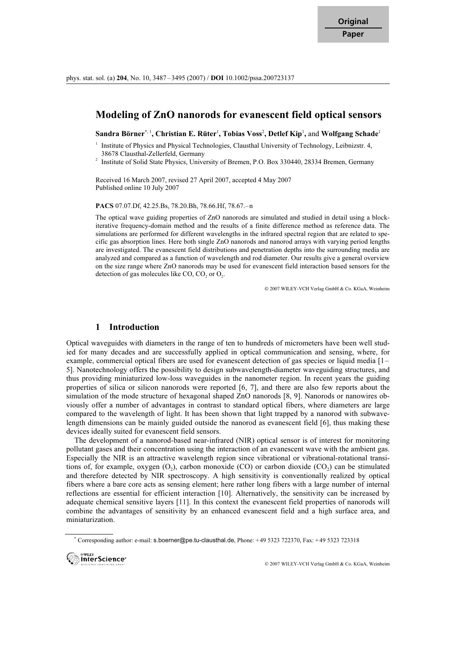# Modeling of ZnO nanorods for evanescent field optical sensors

Sandra Börner $^{\ast,1}$ , Christian E. Rüter $^{\text{l}}$ , Tobias Voss $^{\text{2}}$ , Detlef Kip $^{\text{l}}$ , and Wolfgang Schade $^{\text{l}}$ 

<sup>2</sup> Institute of Solid State Physics, University of Bremen, P.O. Box 330440, 28334 Bremen, Germany

Received 16 March 2007, revised 27 April 2007, accepted 4 May 2007 Published online 10 July 2007

PACS 07.07.Df, 42.25.Bs, 78.20.Bh, 78.66.Hf, 78.67.–n

The optical wave guiding properties of ZnO nanorods are simulated and studied in detail using a blockiterative frequency-domain method and the results of a finite difference method as reference data. The simulations are performed for different wavelengths in the infrared spectral region that are related to specific gas absorption lines. Here both single ZnO nanorods and nanorod arrays with varying period lengths are investigated. The evanescent field distributions and penetration depths into the surrounding media are analyzed and compared as a function of wavelength and rod diameter. Our results give a general overview on the size range where ZnO nanorods may be used for evanescent field interaction based sensors for the detection of gas molecules like  $CO$ ,  $CO<sub>2</sub>$  or  $O<sub>2</sub>$ .

© 2007 WILEY-VCH Verlag GmbH & Co. KGaA, Weinheim

### 1 Introduction

Optical waveguides with diameters in the range of ten to hundreds of micrometers have been well studied for many decades and are successfully applied in optical communication and sensing, where, for example, commercial optical fibers are used for evanescent detection of gas species or liquid media [1– 5]. Nanotechnology offers the possibility to design subwavelength-diameter waveguiding structures, and thus providing miniaturized low-loss waveguides in the nanometer region. In recent years the guiding properties of silica or silicon nanorods were reported [6, 7], and there are also few reports about the simulation of the mode structure of hexagonal shaped ZnO nanorods [8, 9]. Nanorods or nanowires obviously offer a number of advantages in contrast to standard optical fibers, where diameters are large compared to the wavelength of light. It has been shown that light trapped by a nanorod with subwavelength dimensions can be mainly guided outside the nanorod as evanescent field [6], thus making these devices ideally suited for evanescent field sensors.

 The development of a nanorod-based near-infrared (NIR) optical sensor is of interest for monitoring pollutant gases and their concentration using the interaction of an evanescent wave with the ambient gas. Especially the NIR is an attractive wavelength region since vibrational or vibrational-rotational transitions of, for example, oxygen  $(O_2)$ , carbon monoxide  $(CO)$  or carbon dioxide  $(CO_2)$  can be stimulated and therefore detected by NIR spectroscopy. A high sensitivity is conventionally realized by optical fibers where a bare core acts as sensing element; here rather long fibers with a large number of internal reflections are essential for efficient interaction [10]. Alternatively, the sensitivity can be increased by adequate chemical sensitive layers [11]. In this context the evanescent field properties of nanorods will combine the advantages of sensitivity by an enhanced evanescent field and a high surface area, and miniaturization.

<sup>\*</sup> Corresponding author: e-mail: s.boerner@pe.tu-clausthal.de, Phone: + 49 5323 722370, Fax: +49 5323 723318



Institute of Physics and Physical Technologies, Clausthal University of Technology, Leibnizstr. 4, 38678 Clausthal-Zellerfeld, Germany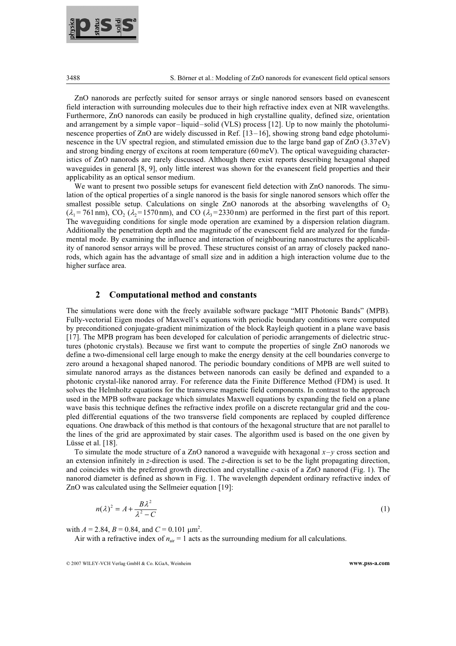

 ZnO nanorods are perfectly suited for sensor arrays or single nanorod sensors based on evanescent field interaction with surrounding molecules due to their high refractive index even at NIR wavelengths. Furthermore, ZnO nanorods can easily be produced in high crystalline quality, defined size, orientation and arrangement by a simple vapor–liquid–solid (VLS) process [12]. Up to now mainly the photoluminescence properties of ZnO are widely discussed in Ref. [13–16], showing strong band edge photoluminescence in the UV spectral region, and stimulated emission due to the large band gap of ZnO (3.37eV) and strong binding energy of excitons at room temperature (60meV). The optical waveguiding characteristics of ZnO nanorods are rarely discussed. Although there exist reports describing hexagonal shaped waveguides in general [8, 9], only little interest was shown for the evanescent field properties and their applicability as an optical sensor medium.

We want to present two possible setups for evanescent field detection with ZnO nanorods. The simulation of the optical properties of a single nanorod is the basis for single nanorod sensors which offer the smallest possible setup. Calculations on single ZnO nanorods at the absorbing wavelengths of  $O<sub>2</sub>$  $(\lambda_1 = 761 \text{ nm})$ , CO<sub>2</sub> ( $\lambda_2 = 1570 \text{ nm}$ ), and CO ( $\lambda_3 = 2330 \text{ nm}$ ) are performed in the first part of this report. The waveguiding conditions for single mode operation are examined by a dispersion relation diagram. Additionally the penetration depth and the magnitude of the evanescent field are analyzed for the fundamental mode. By examining the influence and interaction of neighbouring nanostructures the applicability of nanorod sensor arrays will be proved. These structures consist of an array of closely packed nanorods, which again has the advantage of small size and in addition a high interaction volume due to the higher surface area.

## 2 Computational method and constants

The simulations were done with the freely available software package "MIT Photonic Bands" (MPB). Fully-vectorial Eigen modes of Maxwell's equations with periodic boundary conditions were computed by preconditioned conjugate-gradient minimization of the block Rayleigh quotient in a plane wave basis [17]. The MPB program has been developed for calculation of periodic arrangements of dielectric structures (photonic crystals). Because we first want to compute the properties of single ZnO nanorods we define a two-dimensional cell large enough to make the energy density at the cell boundaries converge to zero around a hexagonal shaped nanorod. The periodic boundary conditions of MPB are well suited to simulate nanorod arrays as the distances between nanorods can easily be defined and expanded to a photonic crystal-like nanorod array. For reference data the Finite Difference Method (FDM) is used. It solves the Helmholtz equations for the transverse magnetic field components. In contrast to the approach used in the MPB software package which simulates Maxwell equations by expanding the field on a plane wave basis this technique defines the refractive index profile on a discrete rectangular grid and the coupled differential equations of the two transverse field components are replaced by coupled difference equations. One drawback of this method is that contours of the hexagonal structure that are not parallel to the lines of the grid are approximated by stair cases. The algorithm used is based on the one given by Lüsse et al. [18].

To simulate the mode structure of a ZnO nanorod a waveguide with hexagonal  $x-y$  cross section and an extension infinitely in z-direction is used. The z-direction is set to be the light propagating direction, and coincides with the preferred growth direction and crystalline c-axis of a ZnO nanorod (Fig. 1). The nanorod diameter is defined as shown in Fig. 1. The wavelength dependent ordinary refractive index of ZnO was calculated using the Sellmeier equation [19]:

$$
n(\lambda)^2 = A + \frac{B\lambda^2}{\lambda^2 - C} \tag{1}
$$

with  $A = 2.84$ ,  $B = 0.84$ , and  $C = 0.101$   $\mu$ m<sup>2</sup>.

Air with a refractive index of  $n_{air} = 1$  acts as the surrounding medium for all calculations.

© 2007 WILEY-VCH Verlag GmbH & Co. KGaA, Weinheim www.pss-a.com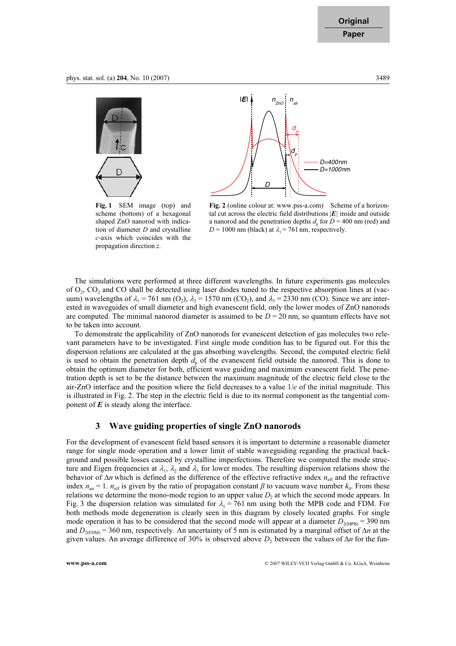**Original Paper**



Fig. 1 SEM image (top) and scheme (bottom) of a hexagonal shaped ZnO nanorod with indication of diameter D and crystalline c-axis which coincides with the propagation direction z.



Fig. 2 (online colour at: www.pss-a.com) Scheme of a horizontal cut across the electric field distributions  $|E|$  inside and outside a nanorod and the penetration depths  $d<sub>n</sub>$  for  $D = 400$  nm (red) and  $D = 1000$  nm (black) at  $\lambda_1 = 761$  nm, respectively.

 The simulations were performed at three different wavelengths. In future experiments gas molecules of  $O<sub>2</sub>$ ,  $CO<sub>2</sub>$  and  $CO$  shall be detected using laser diodes tuned to the respective absorption lines at (vacuum) wavelengths of  $\lambda_1 = 761$  nm (O<sub>2</sub>),  $\lambda_2 = 1570$  nm (CO<sub>2</sub>), and  $\lambda_3 = 2330$  nm (CO). Since we are interested in waveguides of small diameter and high evanescent field, only the lower modes of ZnO nanorods are computed. The minimal nanorod diameter is assumed to be  $D = 20$  nm, so quantum effects have not to be taken into account.

 To demonstrate the applicability of ZnO nanorods for evanescent detection of gas molecules two relevant parameters have to be investigated. First single mode condition has to be figured out. For this the dispersion relations are calculated at the gas absorbing wavelengths. Second, the computed electric field is used to obtain the penetration depth  $d<sub>n</sub>$  of the evanescent field outside the nanorod. This is done to obtain the optimum diameter for both, efficient wave guiding and maximum evanescent field. The penetration depth is set to be the distance between the maximum magnitude of the electric field close to the air-ZnO interface and the position where the field decreases to a value  $1/e$  of the initial magnitude. This is illustrated in Fig. 2. The step in the electric field is due to its normal component as the tangential component of *E* is steady along the interface.

#### 3 Wave guiding properties of single ZnO nanorods

For the development of evanescent field based sensors it is important to determine a reasonable diameter range for single mode operation and a lower limit of stable waveguiding regarding the practical background and possible losses caused by crystalline imperfections. Therefore we computed the mode structure and Eigen frequencies at  $\lambda_1$ ,  $\lambda_2$  and  $\lambda_3$  for lower modes. The resulting dispersion relations show the behavior of  $\Delta n$  which is defined as the difference of the effective refractive index  $n_{\text{eff}}$  and the refractive index  $n_{\text{air}} = 1$ .  $n_{\text{eff}}$  is given by the ratio of propagation constant  $\beta$  to vacuum wave number  $k_0$ . From these relations we determine the mono-mode region to an upper value  $D_2$  at which the second mode appears. In Fig. 3 the dispersion relation was simulated for  $\lambda_1 = 761$  nm using both the MPB code and FDM. For both methods mode degeneration is clearly seen in this diagram by closely located graphs. For single mode operation it has to be considered that the second mode will appear at a diameter  $D_{2(MPB)} = 390$  nm and  $D_{2(FDM)}$  = 360 nm, respectively. An uncertainty of 5 nm is estimated by a marginal offset of ∆n at the given values. An average difference of 30% is observed above  $D_2$  between the values of ∆n for the fun-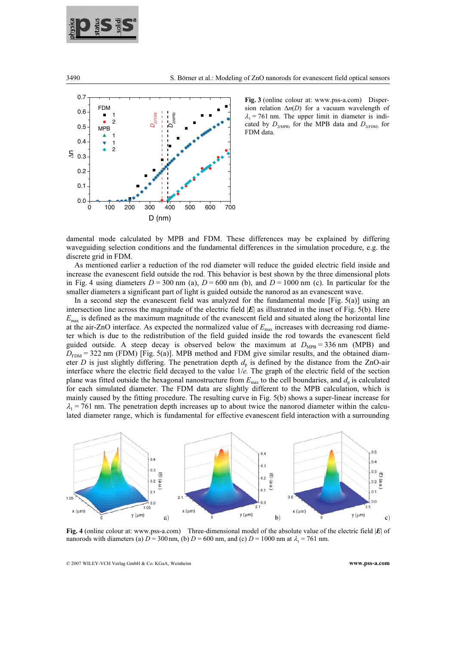



Fig. 3 (online colour at: www.pss-a.com) Dispersion relation  $\Delta n(D)$  for a vacuum wavelength of  $\lambda_1$  = 761 nm. The upper limit in diameter is indicated by  $D_{2(MPB)}$  for the MPB data and  $D_{2(FDM)}$  for FDM data.

damental mode calculated by MPB and FDM. These differences may be explained by differing waveguiding selection conditions and the fundamental differences in the simulation procedure, e.g. the discrete grid in FDM.

 As mentioned earlier a reduction of the rod diameter will reduce the guided electric field inside and increase the evanescent field outside the rod. This behavior is best shown by the three dimensional plots in Fig. 4 using diameters  $D = 300$  nm (a),  $D = 600$  nm (b), and  $D = 1000$  nm (c). In particular for the smaller diameters a significant part of light is guided outside the nanorod as an evanescent wave.

In a second step the evanescent field was analyzed for the fundamental mode  $[Fig, 5(a)]$  using an intersection line across the magnitude of the electric field  $|E|$  as illustrated in the inset of Fig. 5(b). Here  $E_{\text{max}}$  is defined as the maximum magnitude of the evanescent field and situated along the horizontal line at the air-ZnO interface. As expected the normalized value of  $E_{\text{max}}$  increases with decreasing rod diameter which is due to the redistribution of the field guided inside the rod towards the evanescent field guided outside. A steep decay is observed below the maximum at  $D_{MPB} = 336$  nm (MPB) and  $D_{FDM}$  = 322 nm (FDM) [Fig. 5(a)]. MPB method and FDM give similar results, and the obtained diameter D is just slightly differing. The penetration depth  $d<sub>p</sub>$  is defined by the distance from the ZnO-air interface where the electric field decayed to the value  $1/e$ . The graph of the electric field of the section plane was fitted outside the hexagonal nanostructure from  $E_{\text{max}}$  to the cell boundaries, and  $d_{\text{p}}$  is calculated for each simulated diameter. The FDM data are slightly different to the MPB calculation, which is mainly caused by the fitting procedure. The resulting curve in Fig. 5(b) shows a super-linear increase for  $\lambda_1$  = 761 nm. The penetration depth increases up to about twice the nanorod diameter within the calculated diameter range, which is fundamental for effective evanescent field interaction with a surrounding



Fig. 4 (online colour at: www.pss-a.com) Three-dimensional model of the absolute value of the electric field |*E*| of nanorods with diameters (a)  $D = 300$  nm, (b)  $D = 600$  nm, and (c)  $D = 1000$  nm at  $\lambda_1 = 761$  nm.

© 2007 WILEY-VCH Verlag GmbH & Co. KGaA, Weinheim www.pss-a.com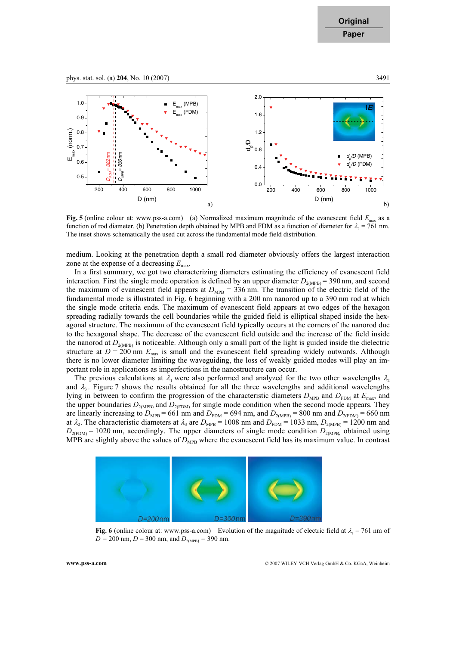**Original Paper**



**Fig. 5** (online colour at: www.pss-a.com) (a) Normalized maximum magnitude of the evanescent field  $E_{\text{max}}$  as a function of rod diameter. (b) Penetration depth obtained by MPB and FDM as a function of diameter for  $\lambda_1 = 761$  nm. The inset shows schematically the used cut across the fundamental mode field distribution.

medium. Looking at the penetration depth a small rod diameter obviously offers the largest interaction zone at the expense of a decreasing  $E_{\text{max}}$ .

 In a first summary, we got two characterizing diameters estimating the efficiency of evanescent field interaction. First the single mode operation is defined by an upper diameter  $D_{2(MPB)} = 390$  nm, and second the maximum of evanescent field appears at  $D_{MPB} = 336$  nm. The transition of the electric field of the fundamental mode is illustrated in Fig. 6 beginning with a 200 nm nanorod up to a 390 nm rod at which the single mode criteria ends. The maximum of evanescent field appears at two edges of the hexagon spreading radially towards the cell boundaries while the guided field is elliptical shaped inside the hexagonal structure. The maximum of the evanescent field typically occurs at the corners of the nanorod due to the hexagonal shape. The decrease of the evanescent field outside and the increase of the field inside the nanorod at  $D_{2(MPB)}$  is noticeable. Although only a small part of the light is guided inside the dielectric structure at  $D = 200$  nm  $E_{\text{max}}$  is small and the evanescent field spreading widely outwards. Although there is no lower diameter limiting the waveguiding, the loss of weakly guided modes will play an important role in applications as imperfections in the nanostructure can occur.

The previous calculations at  $\lambda_1$  were also performed and analyzed for the two other wavelengths  $\lambda_2$ and  $\lambda_3$ . Figure 7 shows the results obtained for all the three wavelengths and additional wavelengths lying in between to confirm the progression of the characteristic diameters  $D_{MPB}$  and  $D_{FDM}$  at  $E_{max}$ , and the upper boundaries  $D_{2(NPB)}$  and  $D_{2(FDM)}$  for single mode condition when the second mode appears. They are linearly increasing to  $D_{MPB}$  = 661 nm and  $D_{FDM}$  = 694 nm, and  $D_{2(MPB)}$  = 800 nm and  $D_{2(FDM)}$  = 660 nm at  $\lambda_2$ . The characteristic diameters at  $\lambda_3$  are  $D_{MPB} = 1008$  nm and  $D_{FDM} = 1033$  nm,  $D_{2(MPB)} = 1200$  nm and  $D_{2(FDM)} = 1020$  nm, accordingly. The upper diameters of single mode condition  $D_{2(MPB)}$  obtained using MPB are slightly above the values of  $D<sub>MPB</sub>$  where the evanescent field has its maximum value. In contrast



Fig. 6 (online colour at: www.pss-a.com) Evolution of the magnitude of electric field at  $\lambda_1 = 761$  nm of  $D = 200$  nm,  $D = 300$  nm, and  $D_{2(MPB)} = 390$  nm.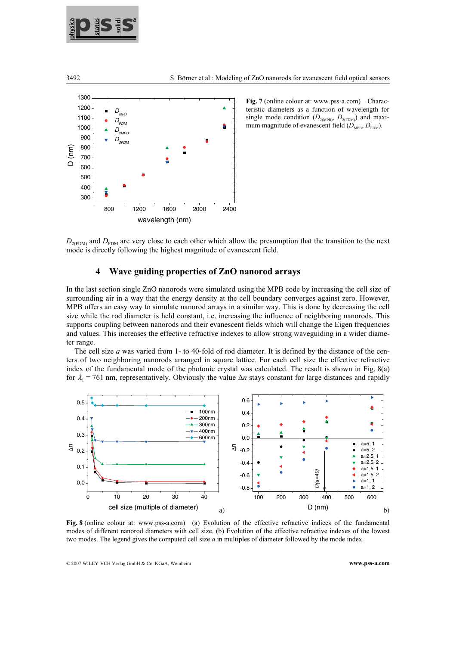



Fig. 7 (online colour at: www.pss-a.com) Characteristic diameters as a function of wavelength for single mode condition  $(D_{2(MPB)}, D_{2(FDM)})$  and maximum magnitude of evanescent field  $(D_{MPB}, D_{FDM})$ .

 $D_{2(FDM)}$  and  $D_{FDM}$  are very close to each other which allow the presumption that the transition to the next mode is directly following the highest magnitude of evanescent field.

# 4 Wave guiding properties of ZnO nanorod arrays

In the last section single ZnO nanorods were simulated using the MPB code by increasing the cell size of surrounding air in a way that the energy density at the cell boundary converges against zero. However, MPB offers an easy way to simulate nanorod arrays in a similar way. This is done by decreasing the cell size while the rod diameter is held constant, i.e. increasing the influence of neighboring nanorods. This supports coupling between nanorods and their evanescent fields which will change the Eigen frequencies and values. This increases the effective refractive indexes to allow strong waveguiding in a wider diameter range.

The cell size  $a$  was varied from 1- to 40-fold of rod diameter. It is defined by the distance of the centers of two neighboring nanorods arranged in square lattice. For each cell size the effective refractive index of the fundamental mode of the photonic crystal was calculated. The result is shown in Fig. 8(a) for  $\lambda_1$  = 761 nm, representatively. Obviously the value  $\Delta n$  stays constant for large distances and rapidly



Fig. 8 (online colour at: www.pss-a.com) (a) Evolution of the effective refractive indices of the fundamental modes of different nanorod diameters with cell size. (b) Evolution of the effective refractive indexes of the lowest two modes. The legend gives the computed cell size *a* in multiples of diameter followed by the mode index.

© 2007 WILEY-VCH Verlag GmbH & Co. KGaA, Weinheim www.pss-a.com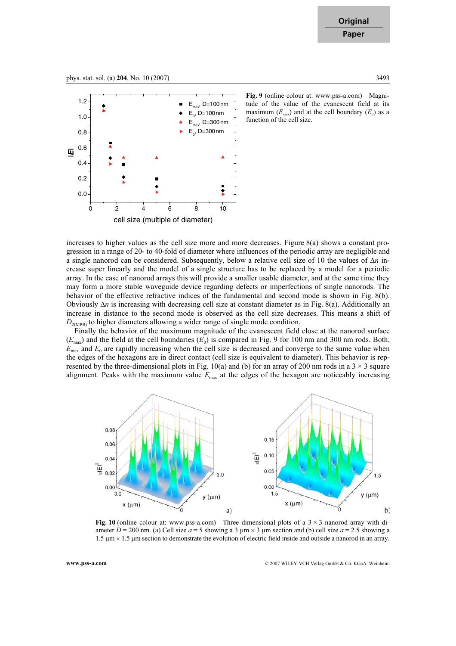**Original Paper**



Fig. 9 (online colour at: www.pss-a.com) Magnitude of the value of the evanescent field at its maximum  $(E_{\text{max}})$  and at the cell boundary  $(E_0)$  as a function of the cell size.

increases to higher values as the cell size more and more decreases. Figure 8(a) shows a constant progression in a range of 20- to 40-fold of diameter where influences of the periodic array are negligible and a single nanorod can be considered. Subsequently, below a relative cell size of 10 the values of ∆n increase super linearly and the model of a single structure has to be replaced by a model for a periodic array. In the case of nanorod arrays this will provide a smaller usable diameter, and at the same time they may form a more stable waveguide device regarding defects or imperfections of single nanorods. The behavior of the effective refractive indices of the fundamental and second mode is shown in Fig. 8(b). Obviously  $\Delta n$  is increasing with decreasing cell size at constant diameter as in Fig. 8(a). Additionally an increase in distance to the second mode is observed as the cell size decreases. This means a shift of  $D_{2(MPB)}$  to higher diameters allowing a wider range of single mode condition.

 Finally the behavior of the maximum magnitude of the evanescent field close at the nanorod surface  $(E_{\text{max}})$  and the field at the cell boundaries  $(E_0)$  is compared in Fig. 9 for 100 nm and 300 nm rods. Both,  $E_{\text{max}}$  and  $E_0$  are rapidly increasing when the cell size is decreased and converge to the same value when the edges of the hexagons are in direct contact (cell size is equivalent to diameter). This behavior is represented by the three-dimensional plots in Fig. 10(a) and (b) for an array of 200 nm rods in a  $3 \times 3$  square alignment. Peaks with the maximum value  $E_{\text{max}}$  at the edges of the hexagon are noticeably increasing



Fig. 10 (online colour at: www.pss-a.com) Three dimensional plots of a  $3 \times 3$  nanorod array with diameter  $D = 200$  nm. (a) Cell size  $a = 5$  showing a 3  $\mu$ m × 3  $\mu$ m section and (b) cell size  $a = 2.5$  showing a 1.5 µm × 1.5 µm section to demonstrate the evolution of electric field inside and outside a nanorod in an array.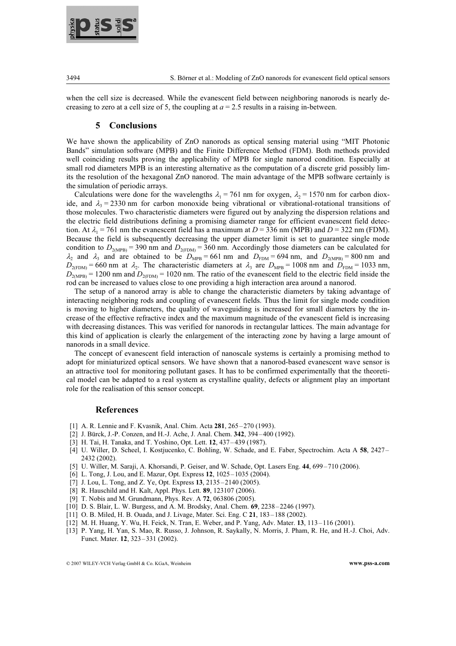

when the cell size is decreased. While the evanescent field between neighboring nanorods is nearly decreasing to zero at a cell size of 5, the coupling at  $a = 2.5$  results in a raising in-between.

## 5 Conclusions

We have shown the applicability of ZnO nanorods as optical sensing material using "MIT Photonic Bands" simulation software (MPB) and the Finite Difference Method (FDM). Both methods provided well coinciding results proving the applicability of MPB for single nanorod condition. Especially at small rod diameters MPB is an interesting alternative as the computation of a discrete grid possibly limits the resolution of the hexagonal ZnO nanorod. The main advantage of the MPB software certainly is the simulation of periodic arrays.

Calculations were done for the wavelengths  $\lambda_1 = 761$  nm for oxygen,  $\lambda_2 = 1570$  nm for carbon dioxide, and  $\lambda_3 = 2330$  nm for carbon monoxide being vibrational or vibrational-rotational transitions of those molecules. Two characteristic diameters were figured out by analyzing the dispersion relations and the electric field distributions defining a promising diameter range for efficient evanescent field detection. At  $\lambda_1 = 761$  nm the evanescent field has a maximum at  $D = 336$  nm (MPB) and  $D = 322$  nm (FDM). Because the field is subsequently decreasing the upper diameter limit is set to guarantee single mode condition to  $D_{2(MPB)} = 390$  nm and  $D_{2(FDM)} = 360$  nm. Accordingly those diameters can be calculated for  $\lambda_2$  and  $\lambda_3$  and are obtained to be  $D_{MPB} = 661$  nm and  $D_{FDM} = 694$  nm, and  $D_{2(MPB)} = 800$  nm and  $D_{2(FDM)} = 660$  nm at  $\lambda_2$ . The characteristic diameters at  $\lambda_3$  are  $D_{MPB} = 1008$  nm and  $D_{FDM} = 1033$  nm,  $D_{2(MPB)} = 1200$  nm and  $D_{2(FDM)} = 1020$  nm. The ratio of the evanescent field to the electric field inside the rod can be increased to values close to one providing a high interaction area around a nanorod.

 The setup of a nanorod array is able to change the characteristic diameters by taking advantage of interacting neighboring rods and coupling of evanescent fields. Thus the limit for single mode condition is moving to higher diameters, the quality of waveguiding is increased for small diameters by the increase of the effective refractive index and the maximum magnitude of the evanescent field is increasing with decreasing distances. This was verified for nanorods in rectangular lattices. The main advantage for this kind of application is clearly the enlargement of the interacting zone by having a large amount of nanorods in a small device.

 The concept of evanescent field interaction of nanoscale systems is certainly a promising method to adopt for miniaturized optical sensors. We have shown that a nanorod-based evanescent wave sensor is an attractive tool for monitoring pollutant gases. It has to be confirmed experimentally that the theoretical model can be adapted to a real system as crystalline quality, defects or alignment play an important role for the realisation of this sensor concept.

#### **References**

- [1] A. R. Lennie and F. Kvasnik, Anal. Chim. Acta 281, 265–270 (1993).
- [2] J. Bürck, J.-P. Conzen, and H.-J. Ache, J. Anal. Chem. **342**, 394–400 (1992).
- [3] H. Tai, H. Tanaka, and T. Yoshino, Opt. Lett. 12, 437–439 (1987).
- [4] U. Willer, D. Scheel, I. Kostjucenko, C. Bohling, W. Schade, and E. Faber, Spectrochim. Acta A 58, 2427– 2432 (2002).
- [5] U. Willer, M. Saraji, A. Khorsandi, P. Geiser, and W. Schade, Opt. Lasers Eng. 44, 699–710 (2006).
- [6] L. Tong, J. Lou, and E. Mazur, Opt. Express 12, 1025–1035 (2004).
- [7] J. Lou, L. Tong, and Z. Ye, Opt. Express 13, 2135–2140 (2005).
- [8] R. Hauschild and H. Kalt, Appl. Phys. Lett. 89, 123107 (2006).
- [9] T. Nobis and M. Grundmann, Phys. Rev. A 72, 063806 (2005).
- [10] D. S. Blair, L. W. Burgess, and A. M. Brodsky, Anal. Chem. 69, 2238-2246 (1997).
- [11] O. B. Miled, H. B. Ouada, and J. Livage, Mater. Sci. Eng. C 21, 183-188 (2002).
- [12] M. H. Huang, Y. Wu, H. Feick, N. Tran, E. Weber, and P. Yang, Adv. Mater. 13, 113–116 (2001).
- [13] P. Yang, H. Yan, S. Mao, R. Russo, J. Johnson, R. Saykally, N. Morris, J. Pham, R. He, and H.-J. Choi, Adv. Funct. Mater. 12, 323–331 (2002).